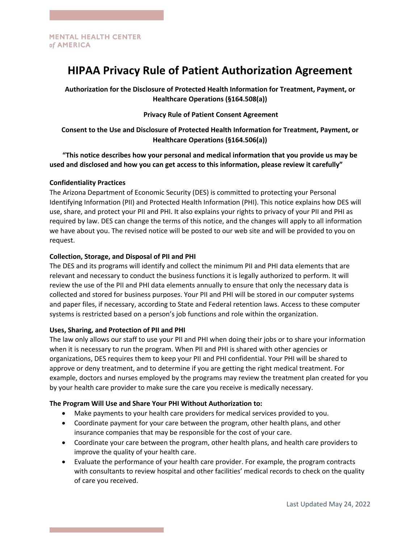# **HIPAA Privacy Rule of Patient Authorization Agreement**

**Authorization for the Disclosure of Protected Health Information for Treatment, Payment, or Healthcare Operations (§164.508(a))**

## **Privacy Rule of Patient Consent Agreement**

**Consent to the Use and Disclosure of Protected Health Information for Treatment, Payment, or Healthcare Operations (§164.506(a))**

**"This notice describes how your personal and medical information that you provide us may be used and disclosed and how you can get access to this information, please review it carefully"** 

### **Confidentiality Practices**

The Arizona Department of Economic Security (DES) is committed to protecting your Personal Identifying Information (PII) and Protected Health Information (PHI). This notice explains how DES will use, share, and protect your PII and PHI. It also explains your rights to privacy of your PII and PHI as required by law. DES can change the terms of this notice, and the changes will apply to all information we have about you. The revised notice will be posted to our web site and will be provided to you on request.

## **Collection, Storage, and Disposal of PII and PHI**

The DES and its programs will identify and collect the minimum PII and PHI data elements that are relevant and necessary to conduct the business functions it is legally authorized to perform. It will review the use of the PII and PHI data elements annually to ensure that only the necessary data is collected and stored for business purposes. Your PII and PHI will be stored in our computer systems and paper files, if necessary, according to State and Federal retention laws. Access to these computer systems is restricted based on a person's job functions and role within the organization.

### **Uses, Sharing, and Protection of PII and PHI**

The law only allows our staff to use your PII and PHI when doing their jobs or to share your information when it is necessary to run the program. When PII and PHI is shared with other agencies or organizations, DES requires them to keep your PII and PHI confidential. Your PHI will be shared to approve or deny treatment, and to determine if you are getting the right medical treatment. For example, doctors and nurses employed by the programs may review the treatment plan created for you by your health care provider to make sure the care you receive is medically necessary.

## **The Program Will Use and Share Your PHI Without Authorization to:**

- Make payments to your health care providers for medical services provided to you.
- Coordinate payment for your care between the program, other health plans, and other insurance companies that may be responsible for the cost of your care.
- Coordinate your care between the program, other health plans, and health care providers to improve the quality of your health care.
- Evaluate the performance of your health care provider. For example, the program contracts with consultants to review hospital and other facilities' medical records to check on the quality of care you received.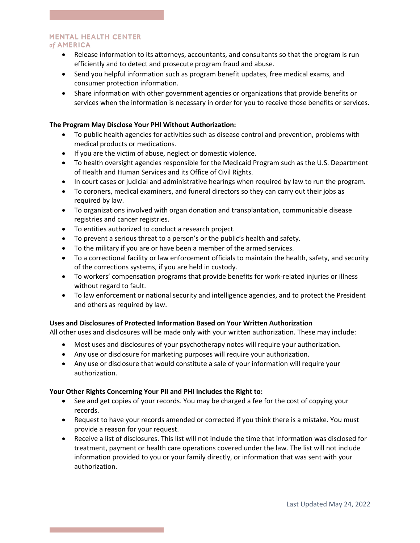#### **MENTAL HEALTH CENTER** of AMERICA

- Release information to its attorneys, accountants, and consultants so that the program is run efficiently and to detect and prosecute program fraud and abuse.
- Send you helpful information such as program benefit updates, free medical exams, and consumer protection information.
- Share information with other government agencies or organizations that provide benefits or services when the information is necessary in order for you to receive those benefits or services.

## **The Program May Disclose Your PHI Without Authorization:**

- To public health agencies for activities such as disease control and prevention, problems with medical products or medications.
- If you are the victim of abuse, neglect or domestic violence.
- To health oversight agencies responsible for the Medicaid Program such as the U.S. Department of Health and Human Services and its Office of Civil Rights.
- In court cases or judicial and administrative hearings when required by law to run the program.
- To coroners, medical examiners, and funeral directors so they can carry out their jobs as required by law.
- To organizations involved with organ donation and transplantation, communicable disease registries and cancer registries.
- To entities authorized to conduct a research project.
- To prevent a serious threat to a person's or the public's health and safety.
- To the military if you are or have been a member of the armed services.
- To a correctional facility or law enforcement officials to maintain the health, safety, and security of the corrections systems, if you are held in custody.
- To workers' compensation programs that provide benefits for work-related injuries or illness without regard to fault.
- To law enforcement or national security and intelligence agencies, and to protect the President and others as required by law.

## **Uses and Disclosures of Protected Information Based on Your Written Authorization**

All other uses and disclosures will be made only with your written authorization. These may include:

- Most uses and disclosures of your psychotherapy notes will require your authorization.
- Any use or disclosure for marketing purposes will require your authorization.
- Any use or disclosure that would constitute a sale of your information will require your authorization.

### **Your Other Rights Concerning Your PII and PHI Includes the Right to:**

- See and get copies of your records. You may be charged a fee for the cost of copying your records.
- Request to have your records amended or corrected if you think there is a mistake. You must provide a reason for your request.
- Receive a list of disclosures. This list will not include the time that information was disclosed for treatment, payment or health care operations covered under the law. The list will not include information provided to you or your family directly, or information that was sent with your authorization.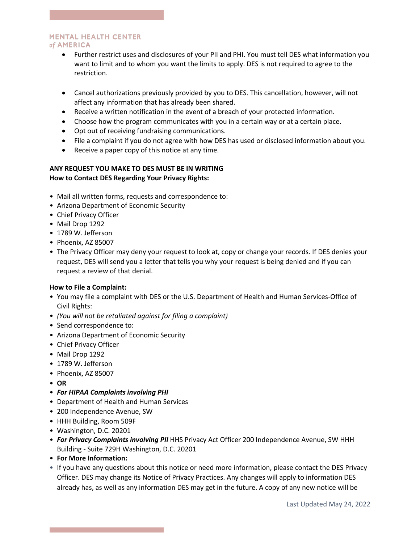### **MENTAL HEALTH CENTER** of AMERICA

- Further restrict uses and disclosures of your PII and PHI. You must tell DES what information you want to limit and to whom you want the limits to apply. DES is not required to agree to the restriction.
- Cancel authorizations previously provided by you to DES. This cancellation, however, will not affect any information that has already been shared.
- Receive a written notification in the event of a breach of your protected information.
- Choose how the program communicates with you in a certain way or at a certain place.
- Opt out of receiving fundraising communications.
- File a complaint if you do not agree with how DES has used or disclosed information about you.
- Receive a paper copy of this notice at any time.

## **ANY REQUEST YOU MAKE TO DES MUST BE IN WRITING How to Contact DES Regarding Your Privacy Rights:**

- Mail all written forms, requests and correspondence to:
- Arizona Department of Economic Security
- Chief Privacy Officer
- Mail Drop 1292
- 1789 W. Jefferson
- Phoenix, AZ 85007
- The Privacy Officer may deny your request to look at, copy or change your records. If DES denies your request, DES will send you a letter that tells you why your request is being denied and if you can request a review of that denial.

# **How to File a Complaint:**

- You may file a complaint with DES or the U.S. Department of Health and Human Services-Office of Civil Rights:
- *(You will not be retaliated against for filing a complaint)*
- Send correspondence to:
- Arizona Department of Economic Security
- Chief Privacy Officer
- Mail Drop 1292
- 1789 W. Jefferson
- Phoenix, AZ 85007
- **OR**
- *For HIPAA Complaints involving PHI*
- Department of Health and Human Services
- 200 Independence Avenue, SW
- HHH Building, Room 509F
- Washington, D.C. 20201
- *For Privacy Complaints involving PII* HHS Privacy Act Officer 200 Independence Avenue, SW HHH Building - Suite 729H Washington, D.C. 20201
- **For More Information:**
- If you have any questions about this notice or need more information, please contact the DES Privacy Officer. DES may change its Notice of Privacy Practices. Any changes will apply to information DES already has, as well as any information DES may get in the future. A copy of any new notice will be